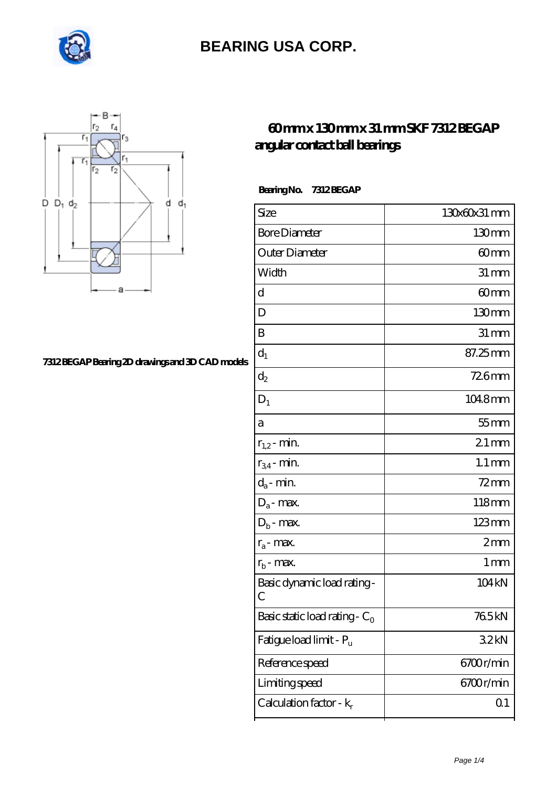



#### **[7312 BEGAP Bearing 2D drawings and 3D CAD models](https://internationalbonsaiforum.com/pic-65128291.html)**

### **[60 mm x 130 mm x 31 mm SKF 7312 BEGAP](https://internationalbonsaiforum.com/skf-7312-begap-bearing/) [angular contact ball bearings](https://internationalbonsaiforum.com/skf-7312-begap-bearing/)**

 **Bearing No. 7312 BEGAP**

| Size                             | 130x60x31 mm        |
|----------------------------------|---------------------|
| <b>Bore Diameter</b>             | 130 <sub>mm</sub>   |
| Outer Diameter                   | 60mm                |
| Width                            | $31 \, \mathrm{mm}$ |
| d                                | 60mm                |
| D                                | 130mm               |
| B                                | $31 \, \text{mm}$   |
| $d_1$                            | 87.25mm             |
| $\mathrm{d}_2$                   | 726mm               |
| $D_1$                            | 1048mm              |
| a                                | $55$ mm             |
| $r_{1,2}$ - min.                 | $21$ mm             |
| $r_{34}$ - min.                  | $1.1 \,\mathrm{mm}$ |
| $d_a$ - min.                     | $72$ mm             |
| $D_a$ - max.                     | 118mm               |
| $D_b$ - max.                     | 123mm               |
| $r_a$ - max.                     | 2mm                 |
| $r_{b}$ - max.                   | $1 \,\mathrm{mm}$   |
| Basic dynamic load rating-<br>С  | 104 kN              |
| Basic static load rating - $C_0$ | 765kN               |
| Fatigue load limit - Pu          | 32kN                |
| Reference speed                  | 6700r/min           |
| Limiting speed                   | 6700r/min           |
| Calculation factor - $k_r$       | Q <sub>1</sub>      |
|                                  |                     |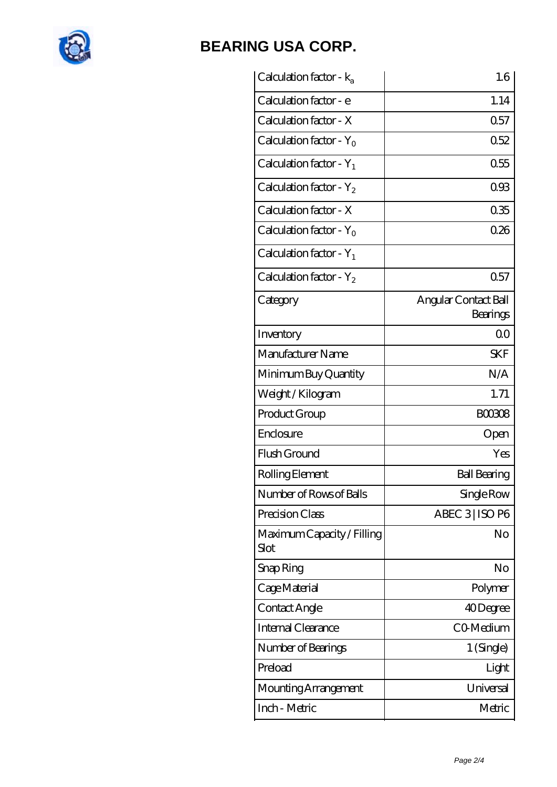

| Calculation factor - $k_a$         | 1.6                              |
|------------------------------------|----------------------------------|
| Calculation factor - e             | 1.14                             |
| Calculation factor - X             | 0.57                             |
| Calculation factor - $Y_0$         | 0.52                             |
| Calculation factor - $Y_1$         | 0.55                             |
| Calculation factor - $Y_2$         | 093                              |
| Calculation factor - X             | 035                              |
| Calculation factor - $Y_0$         | 026                              |
| Calculation factor - $Y_1$         |                                  |
| Calculation factor - $Y_2$         | 0.57                             |
| Category                           | Angular Contact Ball<br>Bearings |
| Inventory                          | 0 <sup>0</sup>                   |
| Manufacturer Name                  | <b>SKF</b>                       |
| Minimum Buy Quantity               | N/A                              |
| Weight / Kilogram                  | 1.71                             |
| Product Group                      | <b>BOO3O8</b>                    |
| Enclosure                          | Open                             |
| Flush Ground                       | Yes                              |
| Rolling Element                    | <b>Ball Bearing</b>              |
| Number of Rows of Balls            | Single Row                       |
| Precision Class                    | ABEC 3   ISO P6                  |
| Maximum Capacity / Filling<br>Slot | No                               |
| Snap Ring                          | No                               |
| Cage Material                      | Polymer                          |
| Contact Angle                      | 40Degree                         |
| <b>Internal Clearance</b>          | CO-Medium                        |
| Number of Bearings                 | 1 (Single)                       |
| Preload                            | Light                            |
| Mounting Arrangement               | Universal                        |
| Inch - Metric                      | Metric                           |
|                                    |                                  |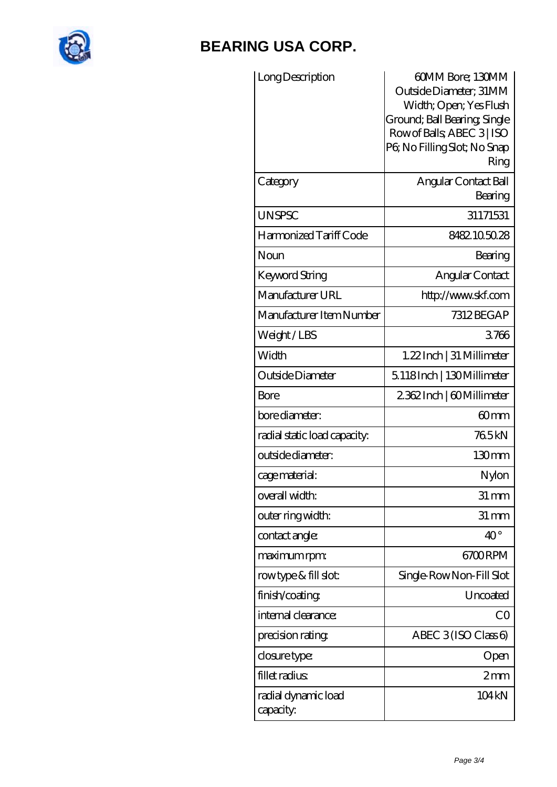

| Long Description                 | 60MM Bore; 130MM<br>Outside Diameter; 31MM<br>Width; Open; Yes Flush<br>Ground; Ball Bearing; Single<br>Row of Balls, ABEC 3   ISO<br>PG No Filling Slot; No Snap<br>Ring |
|----------------------------------|---------------------------------------------------------------------------------------------------------------------------------------------------------------------------|
| Category                         | Angular Contact Ball<br>Bearing                                                                                                                                           |
| <b>UNSPSC</b>                    | 31171531                                                                                                                                                                  |
| Harmonized Tariff Code           | 8482.105028                                                                                                                                                               |
| Noun                             | Bearing                                                                                                                                                                   |
| Keyword String                   | Angular Contact                                                                                                                                                           |
| Manufacturer URL                 | http://www.skf.com                                                                                                                                                        |
| Manufacturer Item Number         | 7312 BEGAP                                                                                                                                                                |
| Weight/LBS                       | 3766                                                                                                                                                                      |
| Width                            | $1.22$ Inch   31 Millimeter                                                                                                                                               |
| Outside Diameter                 | 5118Inch   130Millimeter                                                                                                                                                  |
| Bore                             | 2362Inch   60Millimeter                                                                                                                                                   |
| bore diameter:                   | 60mm                                                                                                                                                                      |
| radial static load capacity:     | 765kN                                                                                                                                                                     |
| outside diameter:                | 130mm                                                                                                                                                                     |
| cage material:                   | Nylon                                                                                                                                                                     |
| overall width:                   | $31 \,\mathrm{mm}$                                                                                                                                                        |
| outer ring width:                | $31 \, \text{mm}$                                                                                                                                                         |
| contact angle:                   | $40^{\circ}$                                                                                                                                                              |
| maximum rpm:                     | 6700RPM                                                                                                                                                                   |
| rowtype & fill slot:             | Single Row Non-Fill Slot                                                                                                                                                  |
| finish/coating                   | Uncoated                                                                                                                                                                  |
| internal clearance:              | CO                                                                                                                                                                        |
| precision rating                 | ABEC $3$ (ISO Class 6)                                                                                                                                                    |
| closure type:                    | Open                                                                                                                                                                      |
| fillet radius                    | 2mm                                                                                                                                                                       |
| radial dynamic load<br>capacity: | 104 <sub>kN</sub>                                                                                                                                                         |